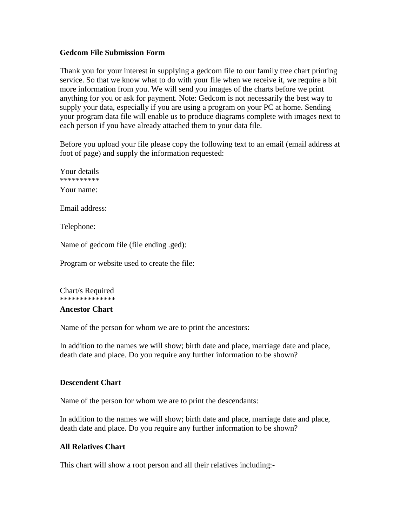#### **Gedcom File Submission Form**

Thank you for your interest in supplying a gedcom file to our family tree chart printing service. So that we know what to do with your file when we receive it, we require a bit more information from you. We will send you images of the charts before we print anything for you or ask for payment. Note: Gedcom is not necessarily the best way to supply your data, especially if you are using a program on your PC at home. Sending your program data file will enable us to produce diagrams complete with images next to each person if you have already attached them to your data file.

Before you upload your file please copy the following text to an email (email address at foot of page) and supply the information requested:

Your details \*\*\*\*\*\*\*\*\*\* Your name:

Email address:

Telephone:

Name of gedcom file (file ending .ged):

Program or website used to create the file:

Chart/s Required \*\*\*\*\*\*\*\*\*\*\*\*\*\*

#### **Ancestor Chart**

Name of the person for whom we are to print the ancestors:

In addition to the names we will show; birth date and place, marriage date and place, death date and place. Do you require any further information to be shown?

## **Descendent Chart**

Name of the person for whom we are to print the descendants:

In addition to the names we will show; birth date and place, marriage date and place, death date and place. Do you require any further information to be shown?

## **All Relatives Chart**

This chart will show a root person and all their relatives including:-